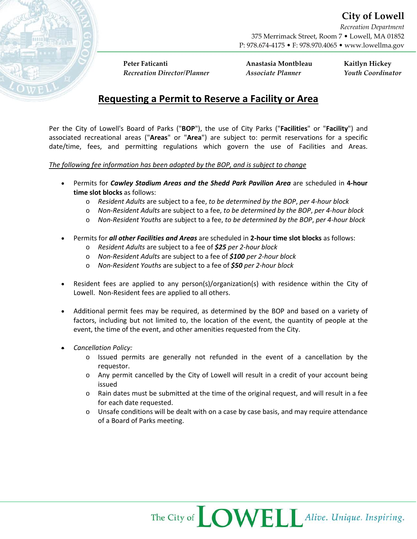*Recreation Department* 375 Merrimack Street, Room 7 • Lowell, MA 01852 P: 978.674-4175 • F: 978.970.4065 • www.lowellma.gov

**Peter Faticanti Anastasia Montbleau Kaitlyn Hickey** *Recreation Director/Planner Associate Planner Youth Coordinator*

## **Requesting a Permit to Reserve a Facility or Area**

Per the City of Lowell's Board of Parks ("**BOP**"), the use of City Parks ("**Facilities**" or "**Facility**") and associated recreational areas ("**Areas**" or "**Area**") are subject to: permit reservations for a specific date/time, fees, and permitting regulations which govern the use of Facilities and Areas.

## *The following fee information has been adopted by the BOP, and is subject to change*

- Permits for *Cawley Stadium Areas and the Shedd Park Pavilion Area* are scheduled in **4-hour time slot blocks** as follows:
	- o *Resident Adults* are subject to a fee, *to be determined by the BOP*, *per 4-hour block*
	- o *Non-Resident Adults* are subject to a fee, *to be determined by the BOP*, *per 4-hour block*
	- o *Non-Resident Youths* are subject to a fee, *to be determined by the BOP*, *per 4-hour block*
- Permits for *all other Facilities and Areas* are scheduled in **2-hour time slot blocks** as follows:
	- o *Resident Adults* are subject to a fee of *\$25 per 2-hour block*
	- o *Non-Resident Adults* are subject to a fee of *\$100 per 2-hour block*
	- o *Non-Resident Youths* are subject to a fee of *\$50 per 2-hour block*
- Resident fees are applied to any person(s)/organization(s) with residence within the City of Lowell. Non-Resident fees are applied to all others.
- Additional permit fees may be required, as determined by the BOP and based on a variety of factors, including but not limited to, the location of the event, the quantity of people at the event, the time of the event, and other amenities requested from the City.
- *Cancellation Policy:* 
	- o Issued permits are generally not refunded in the event of a cancellation by the requestor.
	- $\circ$  Any permit cancelled by the City of Lowell will result in a credit of your account being issued
	- o Rain dates must be submitted at the time of the original request, and will result in a fee for each date requested.
	- $\circ$  Unsafe conditions will be dealt with on a case by case basis, and may require attendance of a Board of Parks meeting.

The City of **COWELL** Alive. Unique. Inspiring.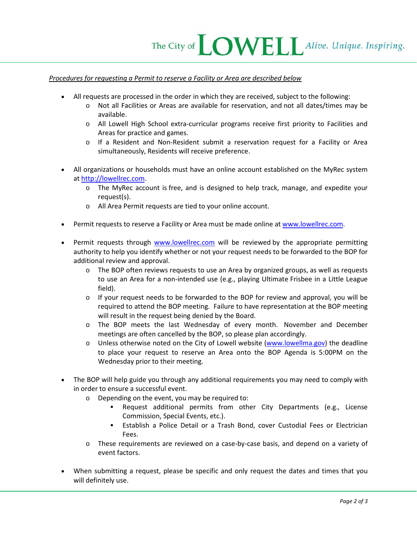## *Procedures for requesting a Permit to reserve a Facility or Area are described below*

- All requests are processed in the order in which they are received, subject to the following:
	- o Not all Facilities or Areas are available for reservation, and not all dates/times may be available.
	- o All Lowell High School extra-curricular programs receive first priority to Facilities and Areas for practice and games.
	- o If a Resident and Non-Resident submit a reservation request for a Facility or Area simultaneously, Residents will receive preference.
- All organizations or households must have an online account established on the MyRec system at [http://lowellrec.com.](http://lowellrec.com/)
	- o The MyRec account is free, and is designed to help track, manage, and expedite your request(s).
	- o All Area Permit requests are tied to your online account.
- Permit requests to reserve a Facility or Area must be made online at [www.lowellrec.com.](http://www.lowellrec.com/)
- Permit requests through [www.lowellrec.com](http://www.lowellrec.com/) will be reviewed by the appropriate permitting authority to help you identify whether or not your request needs to be forwarded to the BOP for additional review and approval.
	- $\circ$  The BOP often reviews requests to use an Area by organized groups, as well as requests to use an Area for a non-intended use (e.g., playing Ultimate Frisbee in a Little League field).
	- $\circ$  If your request needs to be forwarded to the BOP for review and approval, you will be required to attend the BOP meeting. Failure to have representation at the BOP meeting will result in the request being denied by the Board.
	- o The BOP meets the last Wednesday of every month. November and December meetings are often cancelled by the BOP, so please plan accordingly.
	- $\circ$  Unless otherwise noted on the City of Lowell website [\(www.lowellma.gov\)](http://www.lowellma.gov/) the deadline to place your request to reserve an Area onto the BOP Agenda is 5:00PM on the Wednesday prior to their meeting.
- The BOP will help guide you through any additional requirements you may need to comply with in order to ensure a successful event.
	- o Depending on the event, you may be required to:
		- Request additional permits from other City Departments (e.g., License Commission, Special Events, etc.).
		- Establish a Police Detail or a Trash Bond, cover Custodial Fees or Electrician Fees.
	- o These requirements are reviewed on a case-by-case basis, and depend on a variety of event factors.
- When submitting a request, please be specific and only request the dates and times that you will definitely use.